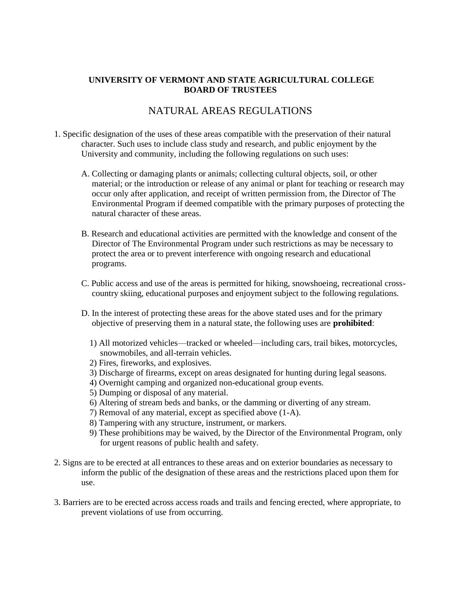## **UNIVERSITY OF VERMONT AND STATE AGRICULTURAL COLLEGE BOARD OF TRUSTEES**

## NATURAL AREAS REGULATIONS

- 1. Specific designation of the uses of these areas compatible with the preservation of their natural character. Such uses to include class study and research, and public enjoyment by the University and community, including the following regulations on such uses:
	- A. Collecting or damaging plants or animals; collecting cultural objects, soil, or other material; or the introduction or release of any animal or plant for teaching or research may occur only after application, and receipt of written permission from, the Director of The Environmental Program if deemed compatible with the primary purposes of protecting the natural character of these areas.
	- B. Research and educational activities are permitted with the knowledge and consent of the Director of The Environmental Program under such restrictions as may be necessary to protect the area or to prevent interference with ongoing research and educational programs.
	- C. Public access and use of the areas is permitted for hiking, snowshoeing, recreational crosscountry skiing, educational purposes and enjoyment subject to the following regulations.
	- D. In the interest of protecting these areas for the above stated uses and for the primary objective of preserving them in a natural state, the following uses are **prohibited**:
		- 1) All motorized vehicles—tracked or wheeled—including cars, trail bikes, motorcycles, snowmobiles, and all-terrain vehicles.
		- 2) Fires, fireworks, and explosives.
		- 3) Discharge of firearms, except on areas designated for hunting during legal seasons.
		- 4) Overnight camping and organized non-educational group events.
		- 5) Dumping or disposal of any material.
		- 6) Altering of stream beds and banks, or the damming or diverting of any stream.
		- 7) Removal of any material, except as specified above (1-A).
		- 8) Tampering with any structure, instrument, or markers.
		- 9) These prohibitions may be waived, by the Director of the Environmental Program, only for urgent reasons of public health and safety.
- 2. Signs are to be erected at all entrances to these areas and on exterior boundaries as necessary to inform the public of the designation of these areas and the restrictions placed upon them for use.
- 3. Barriers are to be erected across access roads and trails and fencing erected, where appropriate, to prevent violations of use from occurring.